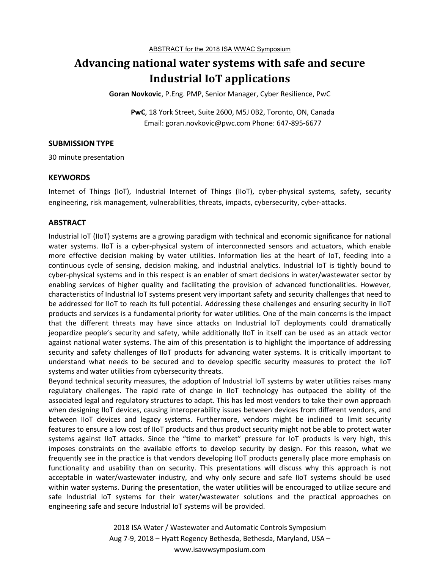# **Advancing national water systems with safe and secure Industrial IoT applications**

**Goran Novkovic**, P.Eng. PMP, Senior Manager, Cyber Resilience, PwC

**PwC**, 18 York Street, Suite 2600, M5J 0B2, Toronto, ON, Canada Email: goran.novkovic@pwc.com Phone: 647-895-6677

#### **SUBMISSION TYPE**

30 minute presentation

### **KEYWORDS**

Internet of Things (IoT), Industrial Internet of Things (IIoT), cyber-physical systems, safety, security engineering, risk management, vulnerabilities, threats, impacts, cybersecurity, cyber-attacks.

### **ABSTRACT**

Industrial IoT (IIoT) systems are a growing paradigm with technical and economic significance for national water systems. IIoT is a cyber-physical system of interconnected sensors and actuators, which enable more effective decision making by water utilities. Information lies at the heart of IoT, feeding into a continuous cycle of sensing, decision making, and industrial analytics. Industrial IoT is tightly bound to cyber-physical systems and in this respect is an enabler of smart decisions in water/wastewater sector by enabling services of higher quality and facilitating the provision of advanced functionalities. However, characteristics of Industrial IoT systems present very important safety and security challenges that need to be addressed for IIoT to reach its full potential. Addressing these challenges and ensuring security in IIoT products and services is a fundamental priority for water utilities. One of the main concerns is the impact that the different threats may have since attacks on Industrial IoT deployments could dramatically jeopardize people's security and safety, while additionally IIoT in itself can be used as an attack vector against national water systems. The aim of this presentation is to highlight the importance of addressing security and safety challenges of IIoT products for advancing water systems. It is critically important to understand what needs to be secured and to develop specific security measures to protect the IIoT systems and water utilities from cybersecurity threats.

Beyond technical security measures, the adoption of Industrial IoT systems by water utilities raises many regulatory challenges. The rapid rate of change in IIoT technology has outpaced the ability of the associated legal and regulatory structures to adapt. This has led most vendors to take their own approach when designing IIoT devices, causing interoperability issues between devices from different vendors, and between IIoT devices and legacy systems. Furthermore, vendors might be inclined to limit security features to ensure a low cost of IIoT products and thus product security might not be able to protect water systems against IIoT attacks. Since the "time to market" pressure for IoT products is very high, this imposes constraints on the available efforts to develop security by design. For this reason, what we frequently see in the practice is that vendors developing IIoT products generally place more emphasis on functionality and usability than on security. This presentations will discuss why this approach is not acceptable in water/wastewater industry, and why only secure and safe IIoT systems should be used within water systems. During the presentation, the water utilities will be encouraged to utilize secure and safe Industrial IoT systems for their water/wastewater solutions and the practical approaches on engineering safe and secure Industrial IoT systems will be provided.

> 2018 ISA Water / Wastewater and Automatic Controls Symposium Aug 7-9, 2018 – Hyatt Regency Bethesda, Bethesda, Maryland, USA – www.isawwsymposium.com